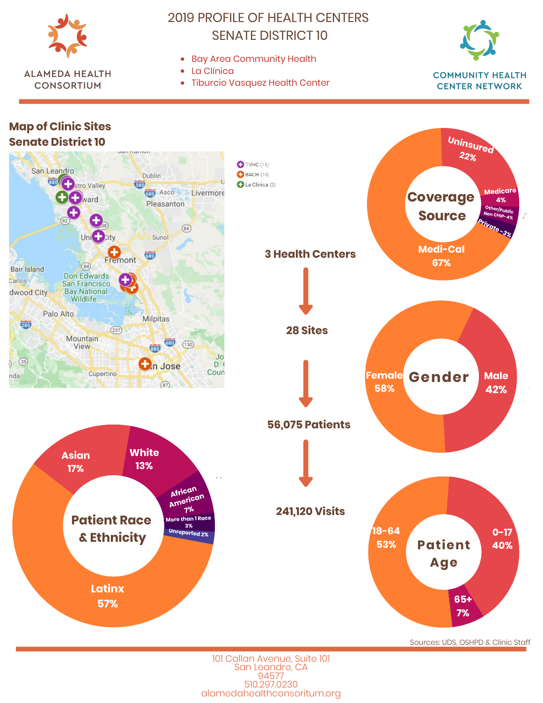

**ALAMEDA HEALTH** 

**CONSORTIUM** 

## **2019 PROFILE OF HEALTH CENTERS SENATE DISTRICT 10**

- Bay Area Community Health
- $\bullet$  I a Clínica
- $\bullet$ **Tiburcio Vasquez Health Center**



**CENTER NETWORK** 



101 Callan Avenue, Suite 101 San Leandro, CA 94577 510.297.0230 alamedahealthconsoritum.org